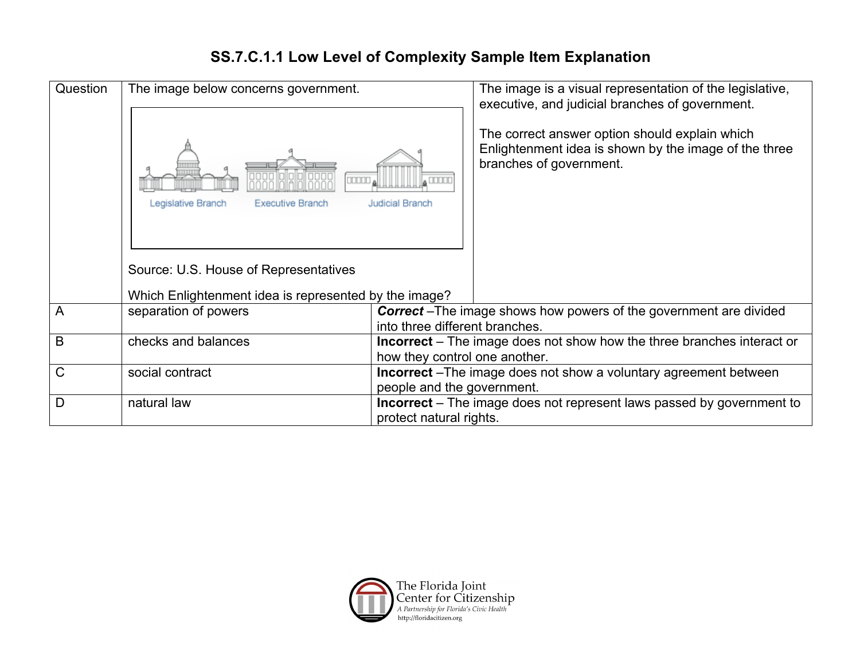## **SS.7.C.1.1 Low Level of Complexity Sample Item Explanation**

| Question     | The image below concerns government.<br>noaar<br>Legislative Branch<br><b>Executive Branch</b><br>Source: U.S. House of Representatives<br>Which Enlightenment idea is represented by the image? | Judicial Branch                                                                                                | The image is a visual representation of the legislative,<br>executive, and judicial branches of government.<br>The correct answer option should explain which<br>Enlightenment idea is shown by the image of the three<br>branches of government. |
|--------------|--------------------------------------------------------------------------------------------------------------------------------------------------------------------------------------------------|----------------------------------------------------------------------------------------------------------------|---------------------------------------------------------------------------------------------------------------------------------------------------------------------------------------------------------------------------------------------------|
|              |                                                                                                                                                                                                  |                                                                                                                |                                                                                                                                                                                                                                                   |
| $\mathsf{A}$ | separation of powers                                                                                                                                                                             | into three different branches.                                                                                 | <b>Correct</b> – The image shows how powers of the government are divided                                                                                                                                                                         |
| B            | checks and balances                                                                                                                                                                              | <b>Incorrect</b> – The image does not show how the three branches interact or<br>how they control one another. |                                                                                                                                                                                                                                                   |
| $\mathsf{C}$ | social contract                                                                                                                                                                                  | <b>Incorrect</b> – The image does not show a voluntary agreement between<br>people and the government.         |                                                                                                                                                                                                                                                   |
| D            | natural law                                                                                                                                                                                      | Incorrect - The image does not represent laws passed by government to<br>protect natural rights.               |                                                                                                                                                                                                                                                   |

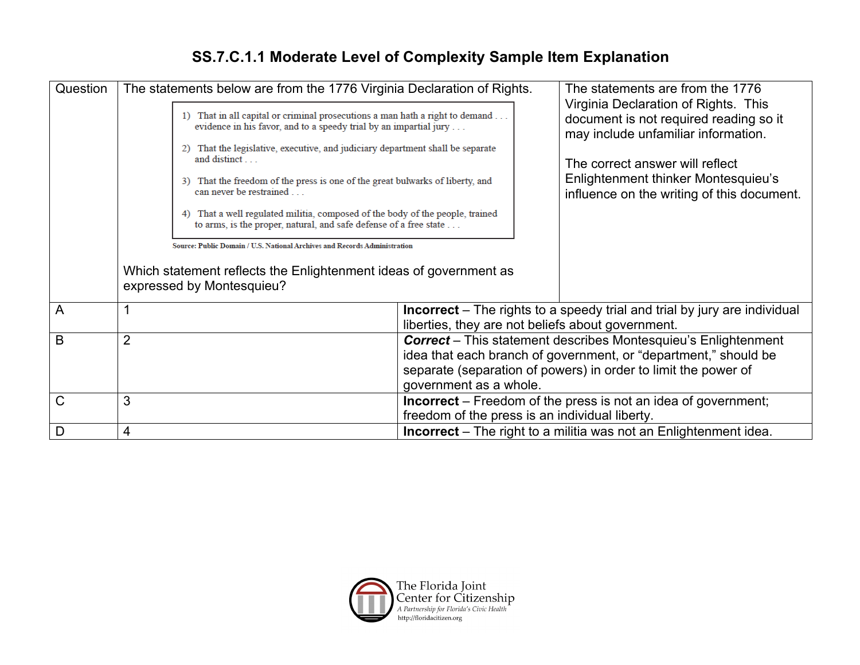## **SS.7.C.1.1 Moderate Level of Complexity Sample Item Explanation**

| Question | The statements below are from the 1776 Virginia Declaration of Rights.                                                                                | The statements are from the 1776                                                                                      |  |  |
|----------|-------------------------------------------------------------------------------------------------------------------------------------------------------|-----------------------------------------------------------------------------------------------------------------------|--|--|
|          | 1) That in all capital or criminal prosecutions a man hath a right to demand<br>evidence in his favor, and to a speedy trial by an impartial jury     | Virginia Declaration of Rights. This<br>document is not required reading so it<br>may include unfamiliar information. |  |  |
|          | 2) That the legislative, executive, and judiciary department shall be separate<br>and distinct                                                        | The correct answer will reflect                                                                                       |  |  |
|          | That the freedom of the press is one of the great bulwarks of liberty, and<br>can never be restrained                                                 | Enlightenment thinker Montesquieu's<br>influence on the writing of this document.                                     |  |  |
|          | That a well regulated militia, composed of the body of the people, trained<br>4)<br>to arms, is the proper, natural, and safe defense of a free state |                                                                                                                       |  |  |
|          | Source: Public Domain / U.S. National Archives and Records Administration                                                                             |                                                                                                                       |  |  |
|          | Which statement reflects the Enlightenment ideas of government as<br>expressed by Montesquieu?                                                        |                                                                                                                       |  |  |
| A        |                                                                                                                                                       | <b>Incorrect</b> – The rights to a speedy trial and trial by jury are individual                                      |  |  |
|          |                                                                                                                                                       | liberties, they are not beliefs about government.                                                                     |  |  |
| B        | $\overline{2}$                                                                                                                                        | <b>Correct</b> – This statement describes Montesquieu's Enlightenment                                                 |  |  |
|          |                                                                                                                                                       | idea that each branch of government, or "department," should be                                                       |  |  |
|          |                                                                                                                                                       | separate (separation of powers) in order to limit the power of                                                        |  |  |
|          |                                                                                                                                                       | government as a whole.                                                                                                |  |  |
| C        | 3                                                                                                                                                     | <b>Incorrect</b> – Freedom of the press is not an idea of government;                                                 |  |  |
|          |                                                                                                                                                       | freedom of the press is an individual liberty.                                                                        |  |  |
| D        | 4                                                                                                                                                     | <b>Incorrect</b> – The right to a militia was not an Enlightenment idea.                                              |  |  |